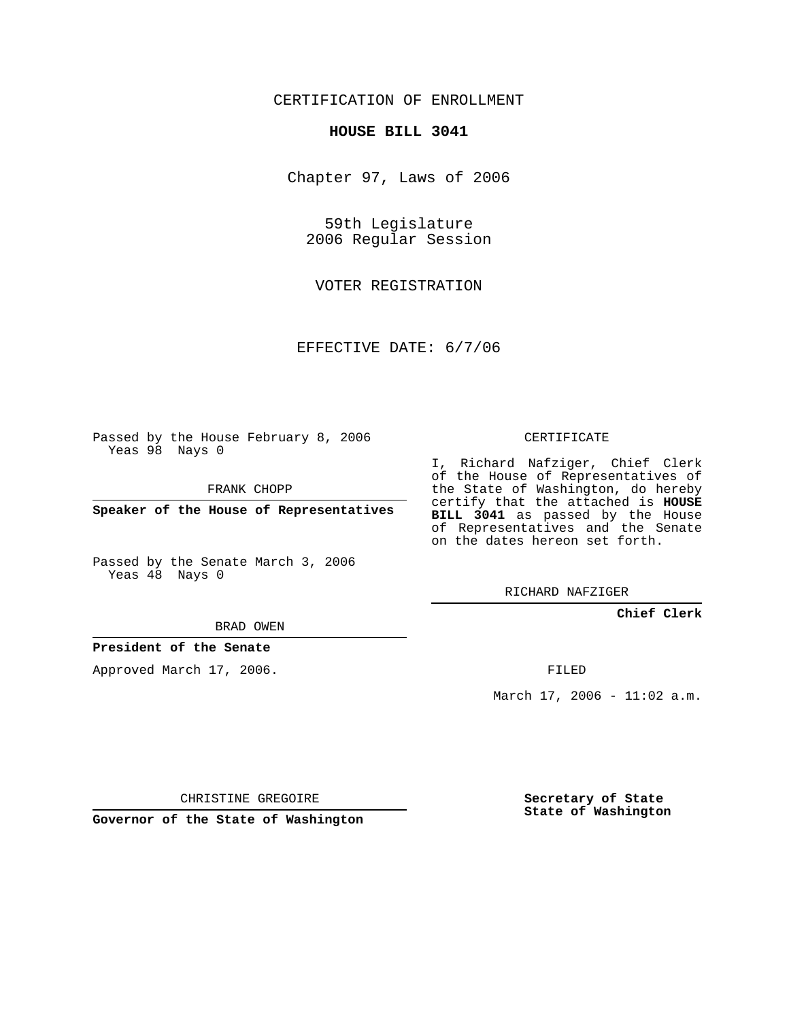## CERTIFICATION OF ENROLLMENT

#### **HOUSE BILL 3041**

Chapter 97, Laws of 2006

59th Legislature 2006 Regular Session

VOTER REGISTRATION

EFFECTIVE DATE: 6/7/06

Passed by the House February 8, 2006 Yeas 98 Nays 0

FRANK CHOPP

**Speaker of the House of Representatives**

Passed by the Senate March 3, 2006 Yeas 48 Nays 0

# CERTIFICATE

I, Richard Nafziger, Chief Clerk of the House of Representatives of the State of Washington, do hereby certify that the attached is **HOUSE BILL 3041** as passed by the House of Representatives and the Senate on the dates hereon set forth.

RICHARD NAFZIGER

### **Chief Clerk**

BRAD OWEN

### **President of the Senate**

Approved March 17, 2006.

FILED

March  $17, 2006 - 11:02$  a.m.

CHRISTINE GREGOIRE

**Governor of the State of Washington**

**Secretary of State State of Washington**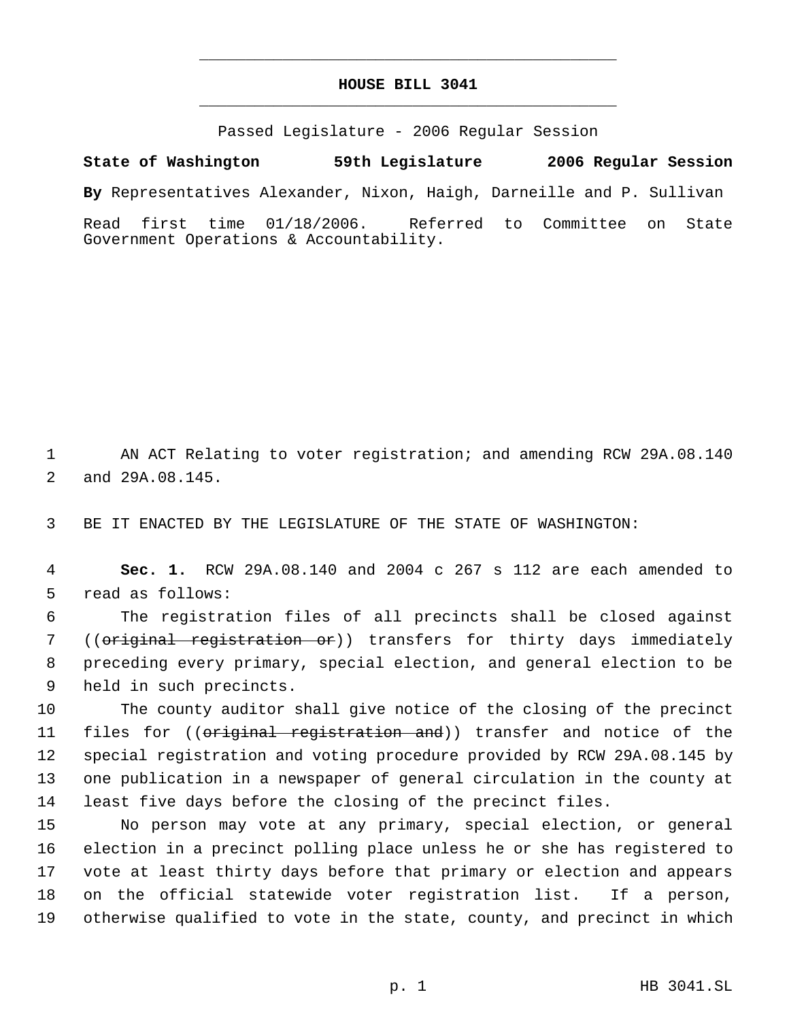## **HOUSE BILL 3041** \_\_\_\_\_\_\_\_\_\_\_\_\_\_\_\_\_\_\_\_\_\_\_\_\_\_\_\_\_\_\_\_\_\_\_\_\_\_\_\_\_\_\_\_\_

\_\_\_\_\_\_\_\_\_\_\_\_\_\_\_\_\_\_\_\_\_\_\_\_\_\_\_\_\_\_\_\_\_\_\_\_\_\_\_\_\_\_\_\_\_

Passed Legislature - 2006 Regular Session

**State of Washington 59th Legislature 2006 Regular Session By** Representatives Alexander, Nixon, Haigh, Darneille and P. Sullivan Read first time 01/18/2006. Referred to Committee on State Government Operations & Accountability.

 AN ACT Relating to voter registration; and amending RCW 29A.08.140 and 29A.08.145.

BE IT ENACTED BY THE LEGISLATURE OF THE STATE OF WASHINGTON:

 **Sec. 1.** RCW 29A.08.140 and 2004 c 267 s 112 are each amended to read as follows:

 The registration files of all precincts shall be closed against 7 ((<del>original registration or</del>)) transfers for thirty days immediately preceding every primary, special election, and general election to be held in such precincts.

 The county auditor shall give notice of the closing of the precinct 11 files for ((original registration and)) transfer and notice of the special registration and voting procedure provided by RCW 29A.08.145 by one publication in a newspaper of general circulation in the county at least five days before the closing of the precinct files.

 No person may vote at any primary, special election, or general election in a precinct polling place unless he or she has registered to vote at least thirty days before that primary or election and appears on the official statewide voter registration list. If a person, otherwise qualified to vote in the state, county, and precinct in which